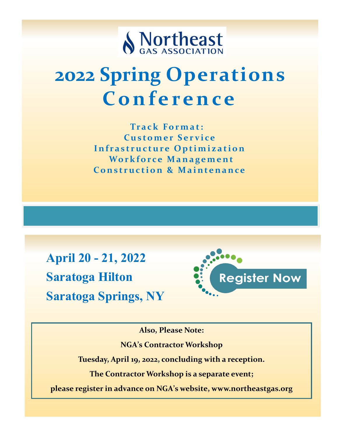

# **2022 Spring Operations C o n f e r e n c e**

**Tr a c k Fo r m a t : Customer Service Infrastructure Optimization Workforce Management Construction & Maintenance** 

**April 20 - 21, 2022 Saratoga Hilton Saratoga Springs, NY**



**Also, Please Note:** 

**NGA's Contractor Workshop**

**Tuesday, April 19, 2022, concluding with a reception.**

**The Contractor Workshop is a separate event;**

**please register in advance on NGA's website, www.northeastgas.org**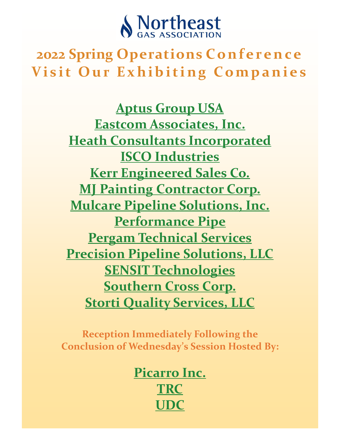

## **2022 Spring Operations Conference Visit Our Exhibiting Companies**

**[Aptus Group USA](https://www.goaptus.com/) [Eastcom Associates, Inc.](https://www.eastcomassoc.com/) [Heath Consultants Incorporated](http://heathus.com) [ISCO Industries](http://WWW.ISCO-PIPE.COM) [Kerr Engineered Sales Co.](http://www.kerrengineeredsales.com) [MJ Painting Contractor Corp.](https://mjpaintingcontractor.com/) [Mulcare Pipeline Solutions, Inc.](http://mulcare.com/) [Performance Pipe](http://www.cpchem.com) [Pergam Technical Services](http://www.pergamusa.com) [Precision Pipeline Solutions, LLC](http://www.precisionpipelinesolutions.com/) [SENSIT Technologies](http://www.gasleaksensors.com) [Southern Cross Corp.](https://www.southerncrossinc.com) [Storti Quality Services, LLC](https://stortiservices.com/)**

**Reception Immediately Following the Conclusion of Wednesday's Session Hosted By:**

> **Picarro Inc. [TRC](https://www.trccompanies.com/) [UDC](http://www.udcus.com)**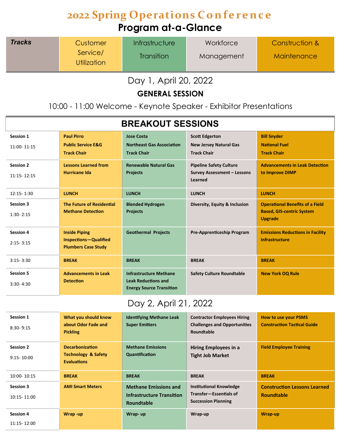### **2022 Spring Operations Conference Program at-a-Glance**

| <b>Tracks</b> | Customer                | <i>Infrastructure</i> | Workforce  | Construction & |
|---------------|-------------------------|-----------------------|------------|----------------|
|               | Service/<br>Utilization | <b>Transition</b>     | Management | Maintenance    |

Day 1, April 20, 2022

**GENERAL SESSION**

10:00 - 11:00 Welcome - Keynote Speaker - Exhibitor Presentations

| <b>BREAKOUT SESSIONS</b>          |                                                                                    |                                                                                                |                                                                                 |                                                                                              |
|-----------------------------------|------------------------------------------------------------------------------------|------------------------------------------------------------------------------------------------|---------------------------------------------------------------------------------|----------------------------------------------------------------------------------------------|
| <b>Session 1</b><br>11:00-11:15   | <b>Paul Pirro</b><br><b>Public Service E&amp;G</b><br><b>Track Chair</b>           | <b>Jose Costa</b><br><b>Northeast Gas Association</b><br><b>Track Chair</b>                    | <b>Scott Edgerton</b><br><b>New Jersey Natural Gas</b><br><b>Track Chair</b>    | <b>Bill Snyder</b><br><b>National Fuel</b><br><b>Track Chair</b>                             |
| <b>Session 2</b><br>11:15-12:15   | <b>Lessons Learned from</b><br>Hurricane Ida                                       | <b>Renewable Natural Gas</b><br><b>Projects</b>                                                | <b>Pipeline Safety Culture</b><br><b>Survey Assessment - Lessons</b><br>Learned | <b>Advancements in Leak Detection</b><br>to Improve DIMP                                     |
| 12:15 - 1:30                      | <b>LUNCH</b>                                                                       | <b>LUNCH</b>                                                                                   | <b>LUNCH</b>                                                                    | <b>LUNCH</b>                                                                                 |
| <b>Session 3</b><br>$1:30 - 2:15$ | <b>The Future of Residential</b><br><b>Methane Detection</b>                       | <b>Blended Hydrogen</b><br><b>Projects</b>                                                     | Diversity, Equity & Inclusion                                                   | <b>Operational Benefits of a Field</b><br><b>Based, GIS-centric System</b><br><b>Upgrade</b> |
| <b>Session 4</b><br>$2:15 - 3:15$ | <b>Inside Piping</b><br><b>Inspections-Qualified</b><br><b>Plumbers Case Study</b> | <b>Geothermal Projects</b>                                                                     | Pre-Apprenticeship Program                                                      | <b>Emissions Reductions in Facility</b><br>Infrastructure                                    |
| $3:15 - 3:30$                     | <b>BREAK</b>                                                                       | <b>BREAK</b>                                                                                   | <b>BREAK</b>                                                                    | <b>BREAK</b>                                                                                 |
| <b>Session 5</b><br>$3:30 - 4:30$ | <b>Advancements in Leak</b><br><b>Detection</b>                                    | <b>Infrastructure Methane</b><br><b>Leak Reductions and</b><br><b>Energy Source Transition</b> | <b>Safety Culture Roundtable</b>                                                | <b>New York OQ Rule</b>                                                                      |

### Day 2, April 21, 2022

| <b>Session 1</b><br>$8:30 - 9:15$  | What you should know<br>about Odor Fade and<br><b>Pickling</b>                 | <b>Identifying Methane Leak</b><br><b>Super Emitters</b>                       | <b>Contractor Employees Hiring</b><br><b>Challenges and Opportunities</b><br>Roundtable | <b>How to use your PSMS</b><br><b>Construction Tactical Guide</b> |
|------------------------------------|--------------------------------------------------------------------------------|--------------------------------------------------------------------------------|-----------------------------------------------------------------------------------------|-------------------------------------------------------------------|
| <b>Session 2</b><br>$9:15 - 10:00$ | <b>Decarbonization</b><br><b>Technology &amp; Safety</b><br><b>Evaluations</b> | <b>Methane Emissions</b><br>Quantification                                     | Hiring Employees in a<br><b>Tight Job Market</b>                                        | <b>Field Employee Training</b>                                    |
| 10:00-10:15                        | <b>BREAK</b>                                                                   | <b>BREAK</b>                                                                   | <b>BREAK</b>                                                                            | <b>BREAK</b>                                                      |
| <b>Session 3</b><br>10:15-11:00    | <b>AMI Smart Meters</b>                                                        | <b>Methane Emissions and</b><br><b>Infrastructure Transition</b><br>Roundtable | <b>Institutional Knowledge</b><br>Transfer-Essentials of<br><b>Succession Planning</b>  | <b>Construction Lessons Learned</b><br><b>Roundtable</b>          |
| <b>Session 4</b>                   | Wrap-up                                                                        | Wrap-up                                                                        | Wrap-up                                                                                 | Wrap-up                                                           |
|                                    |                                                                                |                                                                                |                                                                                         |                                                                   |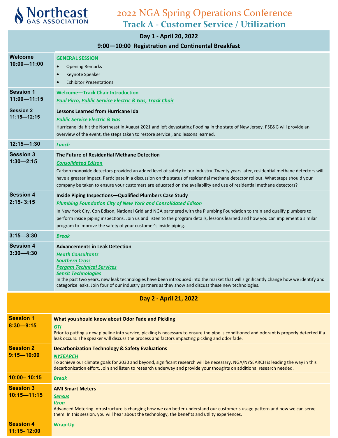

**11:15- 12:00**

| Day 1 - April 20, 2022              |                                                                                                                                                                                                                                                                                                                                                                                                                                                                              |  |  |
|-------------------------------------|------------------------------------------------------------------------------------------------------------------------------------------------------------------------------------------------------------------------------------------------------------------------------------------------------------------------------------------------------------------------------------------------------------------------------------------------------------------------------|--|--|
|                                     | 9:00-10:00 Registration and Continental Breakfast                                                                                                                                                                                                                                                                                                                                                                                                                            |  |  |
| Welcome<br>10:00-11:00              | <b>GENERAL SESSION</b><br>$\bullet$<br><b>Opening Remarks</b><br>Keynote Speaker<br>$\bullet$<br><b>Exhibitor Presentations</b>                                                                                                                                                                                                                                                                                                                                              |  |  |
| <b>Session 1</b><br>11:00-11:15     | <b>Welcome-Track Chair Introduction</b><br><b>Paul Pirro, Public Service Electric &amp; Gas, Track Chair</b>                                                                                                                                                                                                                                                                                                                                                                 |  |  |
| <b>Session 2</b><br>$11:15 - 12:15$ | <b>Lessons Learned from Hurricane Ida</b><br><b>Public Service Electric &amp; Gas</b><br>Hurricane Ida hit the Northeast in August 2021 and left devastating flooding in the state of New Jersey. PSE&G will provide an<br>overview of the event, the steps taken to restore service, and lessons learned.                                                                                                                                                                   |  |  |
| $12:15 - 1:30$                      | Lunch                                                                                                                                                                                                                                                                                                                                                                                                                                                                        |  |  |
| <b>Session 3</b><br>$1:30 - 2:15$   | The Future of Residential Methane Detection<br><b>Consolidated Edison</b><br>Carbon monoxide detectors provided an added level of safety to our industry. Twenty years later, residential methane detectors will<br>have a greater impact. Participate in a discussion on the status of residential methane detector rollout. What steps should your<br>company be taken to ensure your customers are educated on the availability and use of residential methane detectors? |  |  |
| <b>Session 4</b><br>$2:15 - 3:15$   | Inside Piping Inspections-Qualified Plumbers Case Study<br><b>Plumbing Foundation City of New York and Consolidated Edison</b><br>In New York City, Con Edison, National Grid and NGA partnered with the Plumbing Foundation to train and qualify plumbers to<br>perform inside piping inspections. Join us and listen to the program details, lessons learned and how you can implement a similar<br>program to improve the safety of your customer's inside piping.        |  |  |
| $3:15 - 3:30$                       | <b>Break</b>                                                                                                                                                                                                                                                                                                                                                                                                                                                                 |  |  |
| <b>Session 4</b><br>$3:30 - 4:30$   | <b>Advancements in Leak Detection</b><br><b>Heath Consultants</b><br><b>Southern Cross</b><br><b>Pergam Technical Services</b><br><b>Sensit Technologies</b><br>In the past two years, new leak technologies have been introduced into the market that will significantly change how we identify and<br>categorize leaks. Join four of our industry partners as they show and discuss these new technologies.                                                                |  |  |
| Day 2 - April 21, 2022              |                                                                                                                                                                                                                                                                                                                                                                                                                                                                              |  |  |
| <b>Session 1</b><br>$8:30 - 9:15$   | What you should know about Odor Fade and Pickling<br><b>GTI</b><br>Prior to putting a new pipeline into service, pickling is necessary to ensure the pipe is conditioned and odorant is properly detected if a<br>leak occurs. The speaker will discuss the process and factors impacting pickling and odor fade.                                                                                                                                                            |  |  |
| <b>Session 2</b><br>$9:15 - 10:00$  | <b>Decarbonization Technology &amp; Safety Evaluations</b><br><b>NYSEARCH</b><br>To achieve our climate goals for 2030 and beyond, significant research will be necessary. NGA/NYSEARCH is leading the way in this<br>decarbonization effort. Join and listen to research underway and provide your thoughts on additional research needed.                                                                                                                                  |  |  |
| $10:00 - 10:15$                     | <b>Break</b>                                                                                                                                                                                                                                                                                                                                                                                                                                                                 |  |  |
| <b>Session 3</b><br>$10:15 - 11:15$ | <b>AMI Smart Meters</b><br><u>Sensus</u><br>Itron<br>Advanced Metering Infrastructure is changing how we can better understand our customer's usage pattern and how we can serve<br>them. In this session, you will hear about the technology, the benefits and utility experiences.                                                                                                                                                                                         |  |  |
| <b>Session 4</b>                    | <b>Wrap-Up</b>                                                                                                                                                                                                                                                                                                                                                                                                                                                               |  |  |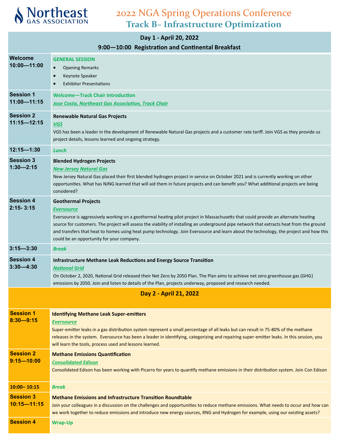

### **Day 1 - April 20, 2022**

### **9:00—10:00 Registration and Continental Breakfast**

| Welcome<br>$10:00 - 11:00$          | <b>GENERAL SESSION</b><br>$\bullet$<br><b>Opening Remarks</b><br>Keynote Speaker<br><b>Exhibitor Presentations</b>                                                                                                                                                                                                                                                                                                                                                                                                     |
|-------------------------------------|------------------------------------------------------------------------------------------------------------------------------------------------------------------------------------------------------------------------------------------------------------------------------------------------------------------------------------------------------------------------------------------------------------------------------------------------------------------------------------------------------------------------|
| <b>Session 1</b><br>$11:00 - 11:15$ | Welcome-Track Chair Introduction<br><b>Jose Costa, Northeast Gas Association, Track Chair</b>                                                                                                                                                                                                                                                                                                                                                                                                                          |
| <b>Session 2</b><br>$11:15 - 12:15$ | <b>Renewable Natural Gas Projects</b><br><b>VGS</b><br>VGS has been a leader in the development of Renewable Natural Gas projects and a customer rate tariff. Join VGS as they provide us<br>project details, lessons learned and ongoing strategy.                                                                                                                                                                                                                                                                    |
| $12:15 - 1:30$                      | Lunch                                                                                                                                                                                                                                                                                                                                                                                                                                                                                                                  |
| <b>Session 3</b><br>$1:30 - 2:15$   | <b>Blended Hydrogen Projects</b><br><b>New Jersey Natural Gas</b><br>New Jersey Natural Gas placed their first blended hydrogen project in service on October 2021 and is currently working on other<br>opportunities. What has NJNG learned that will aid them in future projects and can benefit you? What additional projects are being<br>considered?                                                                                                                                                              |
| <b>Session 4</b><br>$2:15 - 3:15$   | <b>Geothermal Projects</b><br><b>Eversource</b><br>Eversource is aggressively working on a geothermal heating pilot project in Massachusetts that could provide an alternate heating<br>source for customers. The project will assess the viability of installing an underground pipe network that extracts heat from the ground<br>and transfers that heat to homes using heat pump technology. Join Eversource and learn about the technology, the project and how this<br>could be an opportunity for your company. |
| $3:15 - 3:30$                       | <b>Break</b>                                                                                                                                                                                                                                                                                                                                                                                                                                                                                                           |
| <b>Session 4</b><br>$3:30 - 4:30$   | Infrastructure Methane Leak Reductions and Energy Source Transition<br><b>National Grid</b><br>On October 2, 2020, National Grid released their Net Zero by 2050 Plan. The Plan aims to achieve net zero greenhouse gas (GHG)<br>emissions by 2050. Join and listen to details of the Plan, projects underway, proposed and research needed.                                                                                                                                                                           |
|                                     | Day 2 - April 21, 2022                                                                                                                                                                                                                                                                                                                                                                                                                                                                                                 |
| <b>Session 1</b><br>$8:30 - 9:15$   | <b>Identifying Methane Leak Super-emitters</b><br><b>Eversource</b><br>Super-emitter leaks in a gas distribution system represent a small percentage of all leaks but can result in 75-80% of the methane<br>releases in the system. Eversource has been a leader in identifying, categorizing and repairing super-emitter leaks. In this session, you<br>will learn the tools, process used and lessons learned.                                                                                                      |
| <b>Session 2</b><br>$9:15 - 10:00$  | <b>Methane Emissions Quantification</b><br><b>Consolidated Edison</b><br>Consolidated Edison has been working with Picarro for years to quantify methane emissions in their distribution system. Join Con Edison                                                                                                                                                                                                                                                                                                       |
| $10:00 - 10:15$                     | <b>Break</b>                                                                                                                                                                                                                                                                                                                                                                                                                                                                                                           |
| <b>Session 3</b><br>$10:15 - 11:15$ | <b>Methane Emissions and Infrastructure Transition Roundtable</b><br>Join your colleagues in a discussion on the challenges and opportunities to reduce methane emissions. What needs to occur and how can<br>we work together to reduce emissions and introduce new energy sources, RNG and Hydrogen for example, using our existing assets?                                                                                                                                                                          |
| <b>Session 4</b>                    | <b>Wrap-Up</b>                                                                                                                                                                                                                                                                                                                                                                                                                                                                                                         |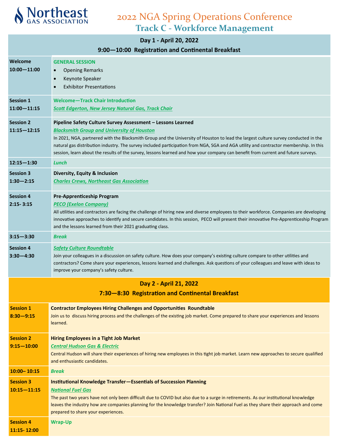

#### **Day 1 - April 20, 2022**

### **9:00—10:00 Registration and Continental Breakfast**

|                                     | <b>10.00 INCRISTIBLION BIND CONTINUESTION DI CARTAST</b>                                                                                                                                                                                                                                                                                                                                                                                                                                                                              |
|-------------------------------------|---------------------------------------------------------------------------------------------------------------------------------------------------------------------------------------------------------------------------------------------------------------------------------------------------------------------------------------------------------------------------------------------------------------------------------------------------------------------------------------------------------------------------------------|
| Welcome<br>$10:00 - 11:00$          | <b>GENERAL SESSION</b><br><b>Opening Remarks</b><br>$\bullet$<br>Keynote Speaker<br>$\bullet$<br><b>Exhibitor Presentations</b>                                                                                                                                                                                                                                                                                                                                                                                                       |
| <b>Session 1</b><br>$11:00 - 11:15$ | <b>Welcome-Track Chair Introduction</b><br><b>Scott Edgerton, New Jersey Natural Gas, Track Chair</b>                                                                                                                                                                                                                                                                                                                                                                                                                                 |
| <b>Session 2</b><br>$11:15 - 12:15$ | Pipeline Safety Culture Survey Assessment - Lessons Learned<br><b>Blacksmith Group and University of Houston</b><br>In 2021, NGA, partnered with the Blacksmith Group and the University of Houston to lead the largest culture survey conducted in the<br>natural gas distribution industry. The survey included participation from NGA, SGA and AGA utility and contractor membership. In this<br>session, learn about the results of the survey, lessons learned and how your company can benefit from current and future surveys. |
| $12:15 - 1:30$                      | Lunch                                                                                                                                                                                                                                                                                                                                                                                                                                                                                                                                 |
| <b>Session 3</b><br>$1:30 - 2:15$   | Diversity, Equity & Inclusion<br><b>Charles Crews, Northeast Gas Association</b>                                                                                                                                                                                                                                                                                                                                                                                                                                                      |
| <b>Session 4</b><br>$2:15 - 3:15$   | <b>Pre-Apprenticeship Program</b><br><b>PECO (Exelon Company)</b><br>All utilities and contractors are facing the challenge of hiring new and diverse employees to their workforce. Companies are developing<br>innovative approaches to identify and secure candidates. In this session, PECO will present their innovative Pre-Apprenticeship Program<br>and the lessons learned from their 2021 graduating class.                                                                                                                  |
| $3:15 - 3:30$                       | <b>Break</b>                                                                                                                                                                                                                                                                                                                                                                                                                                                                                                                          |
| <b>Session 4</b><br>$3:30 - 4:30$   | <b>Safety Culture Roundtable</b><br>Join your colleagues in a discussion on safety culture. How does your company's existing culture compare to other utilities and<br>contractors? Come share your experiences, lessons learned and challenges. Ask questions of your colleagues and leave with ideas to<br>improve your company's safety culture.                                                                                                                                                                                   |
|                                     | Day 2 - April 21, 2022                                                                                                                                                                                                                                                                                                                                                                                                                                                                                                                |
|                                     | 7:30-8:30 Registration and Continental Breakfast                                                                                                                                                                                                                                                                                                                                                                                                                                                                                      |
| <b>Session 1</b><br>$8:30 - 9:15$   | <b>Contractor Employees Hiring Challenges and Opportunities Roundtable</b><br>Join us to discuss hiring process and the challenges of the existing job market. Come prepared to share your experiences and lessons<br>learned.                                                                                                                                                                                                                                                                                                        |
| <b>Session 2</b><br>$9:15 - 10:00$  | <b>Hiring Employees in a Tight Job Market</b><br><b>Central Hudson Gas &amp; Electric</b><br>Central Hudson will share their experiences of hiring new employees in this tight job market. Learn new approaches to secure qualified<br>and enthusiastic candidates.                                                                                                                                                                                                                                                                   |
| $10:00 - 10:15$                     | <b>Break</b>                                                                                                                                                                                                                                                                                                                                                                                                                                                                                                                          |
| <b>Session 3</b><br>$10:15 - 11:15$ | <b>Institutional Knowledge Transfer-Essentials of Succession Planning</b><br><b>National Fuel Gas</b><br>The past two years have not only been difficult due to COVID but also due to a surge in retirements. As our institutional knowledge<br>leaves the industry how are companies planning for the knowledge transfer? Join National Fuel as they share their approach and come<br>prepared to share your experiences.                                                                                                            |
| <b>Session 4</b><br>11:15-12:00     | <b>Wrap-Up</b>                                                                                                                                                                                                                                                                                                                                                                                                                                                                                                                        |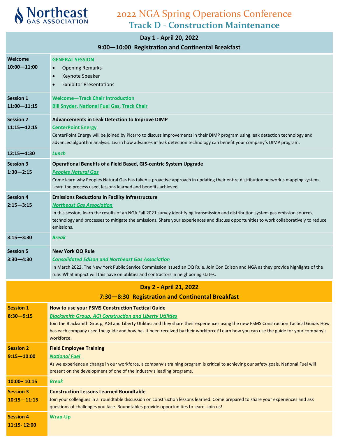

### 2022 NGA Spring Operations Conference **Track D - Construction Maintenance**

### **Day 1 - April 20, 2022**

### **9:00—10:00 Registration and Continental Breakfast**

| Welcome<br>$10:00 - 11:00$          | <b>GENERAL SESSION</b><br><b>Opening Remarks</b><br>$\bullet$<br>Keynote Speaker<br>$\bullet$<br><b>Exhibitor Presentations</b>                                                                                                                                                                                                                                                                                       |
|-------------------------------------|-----------------------------------------------------------------------------------------------------------------------------------------------------------------------------------------------------------------------------------------------------------------------------------------------------------------------------------------------------------------------------------------------------------------------|
| <b>Session 1</b><br>$11:00 - 11:15$ | Welcome-Track Chair Introduction<br><b>Bill Snyder, National Fuel Gas, Track Chair</b>                                                                                                                                                                                                                                                                                                                                |
| <b>Session 2</b><br>$11:15 - 12:15$ | Advancements in Leak Detection to Improve DIMP<br><b>CenterPoint Energy</b><br>CenterPoint Energy will be joined by Picarro to discuss improvements in their DIMP program using leak detection technology and<br>advanced algorithm analysis. Learn how advances in leak detection technology can benefit your company's DIMP program.                                                                                |
| $12:15 - 1:30$                      | Lunch                                                                                                                                                                                                                                                                                                                                                                                                                 |
| <b>Session 3</b><br>$1:30 - 2:15$   | Operational Benefits of a Field Based, GIS-centric System Upgrade<br><b>Peoples Natural Gas</b><br>Come learn why Peoples Natural Gas has taken a proactive approach in updating their entire distribution network's mapping system.<br>Learn the process used, lessons learned and benefits achieved.                                                                                                                |
| <b>Session 4</b><br>$2:15 - 3:15$   | <b>Emissions Reductions in Facility Infrastructure</b><br><b>Northeast Gas Association</b><br>In this session, learn the results of an NGA Fall 2021 survey identifying transmission and distribution system gas emission sources,<br>technology and processes to mitigate the emissions. Share your experiences and discuss opportunities to work collaboratively to reduce<br>emissions.                            |
| $3:15 - 3:30$                       | <b>Break</b>                                                                                                                                                                                                                                                                                                                                                                                                          |
| <b>Session 5</b><br>$3:30 - 4:30$   | <b>New York OQ Rule</b><br><b>Consolidated Edison and Northeast Gas Association</b><br>In March 2022, The New York Public Service Commission issued an OQ Rule. Join Con Edison and NGA as they provide highlights of the<br>rule. What impact will this have on utilities and contractors in neighboring states.                                                                                                     |
|                                     | Day 2 - April 21, 2022<br>7:30-8:30 Registration and Continental Breakfast                                                                                                                                                                                                                                                                                                                                            |
| <b>Session 1</b><br>$8:30 - 9:15$   | How to use your PSMS Construction Tactical Guide<br><b>Blacksmith Group, AGI Construction and Liberty Utilities</b><br>Join the Blacksmith Group, AGI and Liberty Utilities and they share their experiences using the new PSMS Construction Tactical Guide. How<br>has each company used the guide and how has it been received by their workforce? Learn how you can use the guide for your company's<br>workforce. |
| <b>Session 2</b><br>$9:15 - 10:00$  | <b>Field Employee Training</b><br><b>National Fuel</b><br>As we experience a change in our workforce, a company's training program is critical to achieving our safety goals. National Fuel will<br>present on the development of one of the industry's leading programs.                                                                                                                                             |
| $10:00 - 10:15$                     | Break                                                                                                                                                                                                                                                                                                                                                                                                                 |
| <b>Session 3</b><br>$10:15 - 11:15$ | <b>Construction Lessons Learned Roundtable</b><br>Join your colleagues in a roundtable discussion on construction lessons learned. Come prepared to share your experiences and ask<br>questions of challenges you face. Roundtables provide opportunities to learn. Join us!                                                                                                                                          |
| <b>Session 4</b><br>11:15-12:00     | <b>Wrap-Up</b>                                                                                                                                                                                                                                                                                                                                                                                                        |